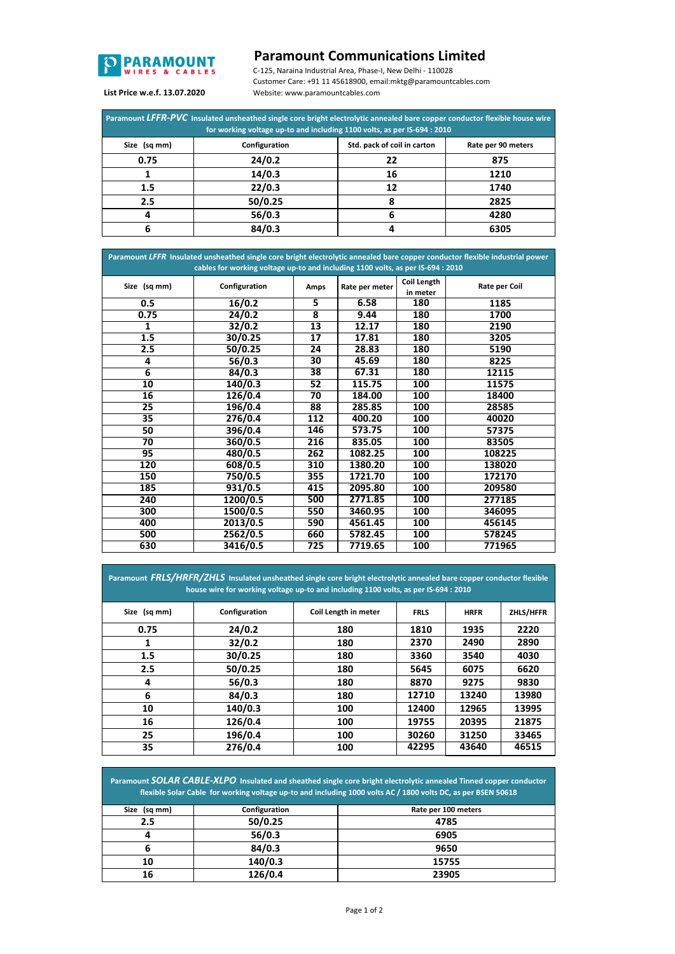

## **Paramount Communications Limited**

C-125, Naraina Industrial Area, Phase-I, New Delhi - 110028 Customer Care: +91 11 45618900, email:mktg@paramountcables.com **List Price w.e.f. 13.07.2020** Website: www.paramountcables.com

| Paramount LFFR-PVC Insulated unsheathed single core bright electrolytic annealed bare copper conductor flexible house wire<br>for working voltage up-to and including 1100 volts, as per IS-694 : 2010 |               |                             |                    |  |  |  |
|--------------------------------------------------------------------------------------------------------------------------------------------------------------------------------------------------------|---------------|-----------------------------|--------------------|--|--|--|
| Size (sq mm)                                                                                                                                                                                           | Configuration | Std. pack of coil in carton | Rate per 90 meters |  |  |  |
| 0.75                                                                                                                                                                                                   | 24/0.2        | 22                          | 875                |  |  |  |
|                                                                                                                                                                                                        | 14/0.3        | 16                          | 1210               |  |  |  |
| 1.5                                                                                                                                                                                                    | 22/0.3        | 12                          | 1740               |  |  |  |
| 2.5                                                                                                                                                                                                    | 50/0.25       |                             | 2825               |  |  |  |
|                                                                                                                                                                                                        | 56/0.3        | 6                           | 4280               |  |  |  |
| 6                                                                                                                                                                                                      | 84/0.3        |                             | 6305               |  |  |  |

| Paramount LFFR Insulated unsheathed single core bright electrolytic annealed bare copper conductor flexible industrial power<br>cables for working voltage up-to and including 1100 volts, as per IS-694 : 2010 |               |                                    |         |                    |               |  |
|-----------------------------------------------------------------------------------------------------------------------------------------------------------------------------------------------------------------|---------------|------------------------------------|---------|--------------------|---------------|--|
| Size (sq mm)                                                                                                                                                                                                    | Configuration | Amps<br>Rate per meter<br>in meter |         | <b>Coil Length</b> | Rate per Coil |  |
| 0.5                                                                                                                                                                                                             | 16/0.2        | 5                                  | 6.58    | 180                | 1185          |  |
| 0.75                                                                                                                                                                                                            | 24/0.2        | $\overline{\mathbf{8}}$            | 9.44    | 180                | 1700          |  |
| 1                                                                                                                                                                                                               | 32/0.2        | 13                                 | 12.17   | 180                | 2190          |  |
| 1.5                                                                                                                                                                                                             | 30/0.25       | 17                                 | 17.81   | 180                | 3205          |  |
| 2.5                                                                                                                                                                                                             | 50/0.25       | 24                                 | 28.83   | 180                | 5190          |  |
| 4                                                                                                                                                                                                               | 56/0.3        | $\overline{30}$                    | 45.69   | 180                | 8225          |  |
| 6                                                                                                                                                                                                               | 84/0.3        | $\overline{38}$                    | 67.31   | 180                | 12115         |  |
| 10                                                                                                                                                                                                              | 140/0.3       | 52                                 | 115.75  | 100                | 11575         |  |
| $\overline{16}$                                                                                                                                                                                                 | 126/0.4       | $\overline{70}$                    | 184.00  | 100                | 18400         |  |
| $\overline{25}$                                                                                                                                                                                                 | 196/0.4       | 88                                 | 285.85  | 100                | 28585         |  |
| 35                                                                                                                                                                                                              | 276/0.4       | 112                                | 400.20  | 100                | 40020         |  |
| 50                                                                                                                                                                                                              | 396/0.4       | 146                                | 573.75  | 100                | 57375         |  |
| 70                                                                                                                                                                                                              | 360/0.5       | 216                                | 835.05  | 100                | 83505         |  |
| 95                                                                                                                                                                                                              | 480/0.5       | 262                                | 1082.25 | 100                | 108225        |  |
| 120                                                                                                                                                                                                             | 608/0.5       | 310                                | 1380.20 | 100                | 138020        |  |
| 150                                                                                                                                                                                                             | 750/0.5       | 355                                | 1721.70 | 100                | 172170        |  |
| 185                                                                                                                                                                                                             | 931/0.5       | 415                                | 2095.80 | 100                | 209580        |  |
| 240                                                                                                                                                                                                             | 1200/0.5      | 500                                | 2771.85 | 100                | 277185        |  |
| 300                                                                                                                                                                                                             | 1500/0.5      | 550                                | 3460.95 | 100                | 346095        |  |
| 400                                                                                                                                                                                                             | 2013/0.5      | 590                                | 4561.45 | 100                | 456145        |  |
| 500                                                                                                                                                                                                             | 2562/0.5      | 660                                | 5782.45 | 100                | 578245        |  |
| 630                                                                                                                                                                                                             | 3416/0.5      | 725                                | 7719.65 | 100                | 771965        |  |

**FRLS HRFR ZHLS/HFFR 1935 2220 2490 2890 3540 4030 6075 6620 9275 9830 13240 13980 12965 13995 20395 21875 31250 33465 43640 46515 Paramount** *FRLS/HRFR/ZHLS* **Insulated unsheathed single core bright electrolytic annealed bare copper conductor flexible house wire for working voltage up-to and including 1100 volts, as per IS-694 : 2010 Size (sq mm) Configuration Coil Length in meter 32/0.2 180 0.75 24/0.2 180 2.5 50/0.25 180 1.5 30/0.25 84/0.3 180 56/0.3 180 126/0.4 100 140/0.3 100 276/0.4 100 196/0.4 100**

**2.5 50/0.25 Paramount** *SOLAR CABLE-XLPO* **Insulated and sheathed single core bright electrolytic annealed Tinned copper conductor flexible Solar Cable for working voltage up-to and including 1000 volts AC / 1800 volts DC, as per BSEN 50618 Size (sq mm) Configuration Rate per 100 meters 84/0.3 56/0.3 6905 126/0.4 140/0.3 15755**